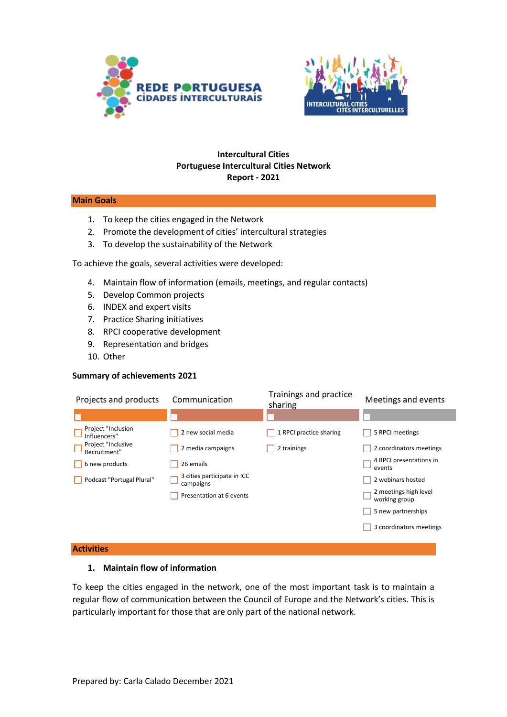



### **Intercultural Cities Portuguese Intercultural Cities Network Report - 2021**

### **Main Goals**

- 1. To keep the cities engaged in the Network
- 2. Promote the development of cities' intercultural strategies
- 3. To develop the sustainability of the Network

To achieve the goals, several activities were developed:

- 4. Maintain flow of information (emails, meetings, and regular contacts)
- 5. Develop Common projects
- 6. INDEX and expert visits
- 7. Practice Sharing initiatives
- 8. RPCI cooperative development
- 9. Representation and bridges
- 10. Other

### **Summary of achievements 2021**

| Projects and products              | Communication                            | Trainings and practice<br>sharing | Meetings and events                    |
|------------------------------------|------------------------------------------|-----------------------------------|----------------------------------------|
|                                    |                                          |                                   |                                        |
| Project "Inclusion<br>Influencers" | 2 new social media                       | 1 RPCI practice sharing           | 5 RPCI meetings                        |
| Project "Inclusive<br>Recruitment" | 2 media campaigns                        | 2 trainings                       | 2 coordinators meetings                |
| 6 new products                     | 26 emails                                |                                   | 4 RPCI presentations in<br>events      |
| Podcast "Portugal Plural"          | 3 cities participate in ICC<br>campaigns |                                   | 2 webinars hosted                      |
|                                    | Presentation at 6 events                 |                                   | 2 meetings high level<br>working group |
|                                    |                                          |                                   | 5 new partnerships                     |
|                                    |                                          |                                   | 3 coordinators meetings                |

#### **Activities**

### **1. Maintain flow of information**

To keep the cities engaged in the network, one of the most important task is to maintain a regular flow of communication between the Council of Europe and the Network's cities. This is particularly important for those that are only part of the national network.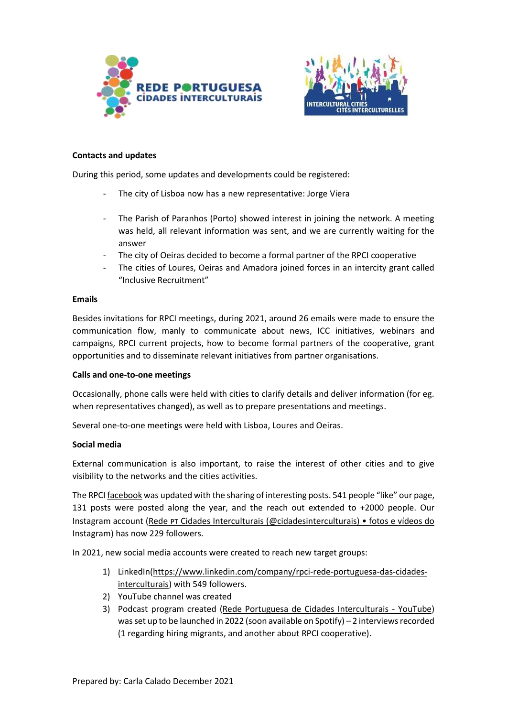



### **Contacts and updates**

During this period, some updates and developments could be registered:

- The city of Lisboa now has a new representative: Jorge Viera
- The Parish of Paranhos (Porto) showed interest in joining the network. A meeting was held, all relevant information was sent, and we are currently waiting for the answer
- The city of Oeiras decided to become a formal partner of the RPCI cooperative
- The cities of Loures, Oeiras and Amadora joined forces in an intercity grant called "Inclusive Recruitment"

### **Emails**

Besides invitations for RPCI meetings, during 2021, around 26 emails were made to ensure the communication flow, manly to communicate about news, ICC initiatives, webinars and campaigns, RPCI current projects, how to become formal partners of the cooperative, grant opportunities and to disseminate relevant initiatives from partner organisations.

### **Calls and one-to-one meetings**

Occasionally, phone calls were held with cities to clarify details and deliver information (for eg. when representatives changed), as well as to prepare presentations and meetings.

Several one-to-one meetings were held with Lisboa, Loures and Oeiras.

### **Social media**

External communication is also important, to raise the interest of other cities and to give visibility to the networks and the cities activities.

The RPC[I facebook](https://www.facebook.com/RPCIPortugal) was updated with the sharing of interesting posts. 541 people "like" our page, 131 posts were posted along the year, and the reach out extended to +2000 people. Our Instagram account (Rede PT Cidades Interculturais (@cidadesinterculturais) • fotos e vídeos do [Instagram\)](https://www.instagram.com/cidadesinterculturais/) has now 229 followers.

In 2021, new social media accounts were created to reach new target groups:

- 1) LinkedIn[\(https://www.linkedin.com/company/rpci-rede-portuguesa-das-cidades](https://www.linkedin.com/company/rpci-rede-portuguesa-das-cidades-interculturais)[interculturais\)](https://www.linkedin.com/company/rpci-rede-portuguesa-das-cidades-interculturais) with 549 followers.
- 2) YouTube channel was created
- 3) Podcast program created [\(Rede Portuguesa de Cidades Interculturais -](https://www.youtube.com/channel/UCVtHDVuDH2Aiz-3xMxIOn2g) YouTube) was set up to be launched in 2022 (soon available on Spotify) – 2 interviews recorded (1 regarding hiring migrants, and another about RPCI cooperative).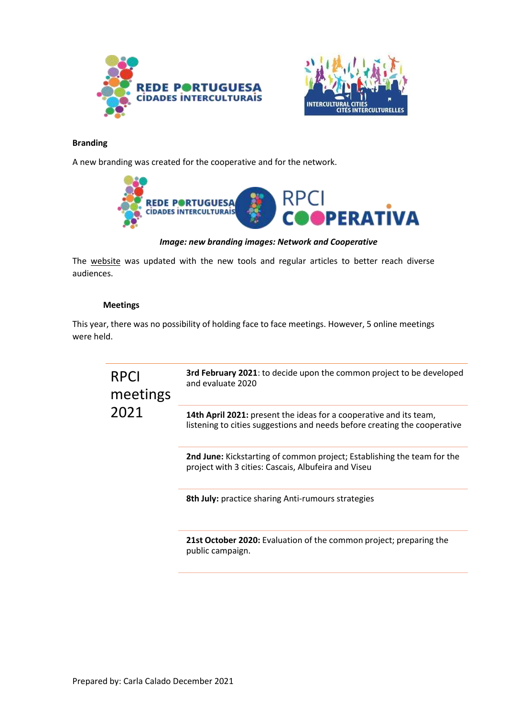



### **Branding**

A new branding was created for the cooperative and for the network.



*Image: new branding images: Network and Cooperative*

The [website](http://www.cidadesinterculturais.pt/) was updated with the new tools and regular articles to better reach diverse audiences.

### **Meetings**

This year, there was no possibility of holding face to face meetings. However, 5 online meetings were held.

| RPCI<br>meetings<br>2021 | 3rd February 2021: to decide upon the common project to be developed<br>and evaluate 2020                                                       |
|--------------------------|-------------------------------------------------------------------------------------------------------------------------------------------------|
|                          | 14th April 2021: present the ideas for a cooperative and its team,<br>listening to cities suggestions and needs before creating the cooperative |
|                          | <b>2nd June:</b> Kickstarting of common project; Establishing the team for the<br>project with 3 cities: Cascais, Albufeira and Viseu           |
|                          | 8th July: practice sharing Anti-rumours strategies                                                                                              |
|                          | 21st October 2020: Evaluation of the common project; preparing the<br>public campaign.                                                          |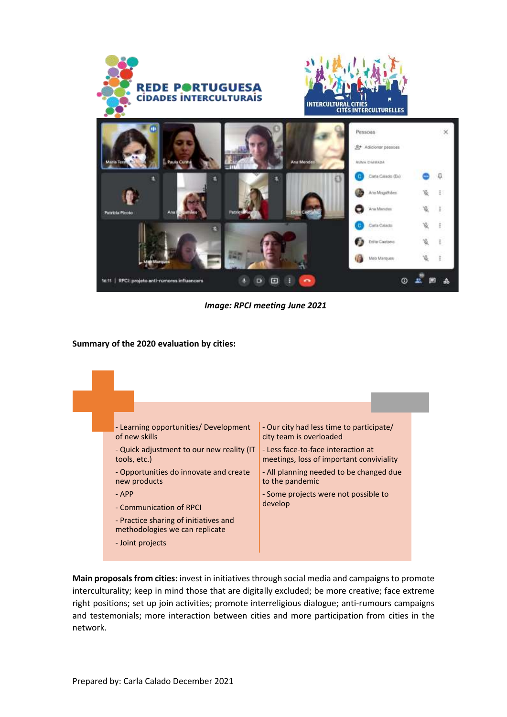

*Image: RPCI meeting June 2021*

### **Summary of the 2020 evaluation by cities:**



**Main proposals from cities:** invest in initiatives through social media and campaigns to promote interculturality; keep in mind those that are digitally excluded; be more creative; face extreme right positions; set up join activities; promote interreligious dialogue; anti-rumours campaigns and testemonials; more interaction between cities and more participation from cities in the network.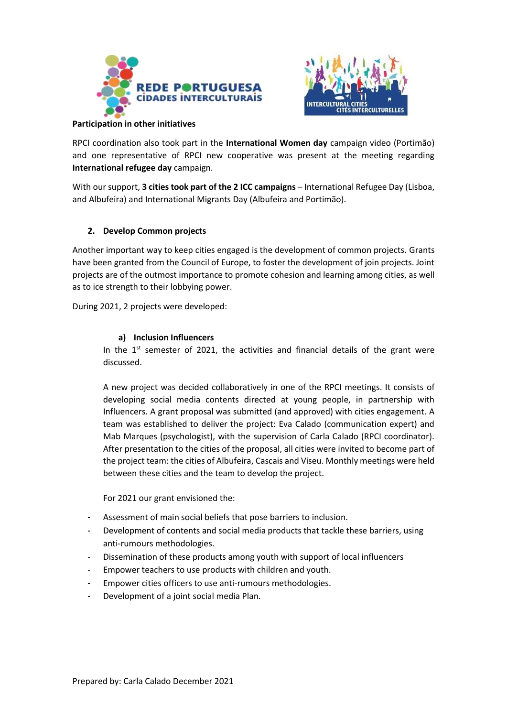



### **Participation in other initiatives**

RPCI coordination also took part in the **International Women day** campaign video (Portimão) and one representative of RPCI new cooperative was present at the meeting regarding **International refugee day** campaign.

With our support, **3 cities took part of the 2 ICC campaigns** – International Refugee Day (Lisboa, and Albufeira) and International Migrants Day (Albufeira and Portimão).

# **2. Develop Common projects**

Another important way to keep cities engaged is the development of common projects. Grants have been granted from the Council of Europe, to foster the development of join projects. Joint projects are of the outmost importance to promote cohesion and learning among cities, as well as to ice strength to their lobbying power.

During 2021, 2 projects were developed:

### **a) Inclusion Influencers**

In the  $1<sup>st</sup>$  semester of 2021, the activities and financial details of the grant were discussed.

A new project was decided collaboratively in one of the RPCI meetings. It consists of developing social media contents directed at young people, in partnership with Influencers. A grant proposal was submitted (and approved) with cities engagement. A team was established to deliver the project: Eva Calado (communication expert) and Mab Marques (psychologist), with the supervision of Carla Calado (RPCI coordinator). After presentation to the cities of the proposal, all cities were invited to become part of the project team: the cities of Albufeira, Cascais and Viseu. Monthly meetings were held between these cities and the team to develop the project.

For 2021 our grant envisioned the:

- Assessment of main social beliefs that pose barriers to inclusion.
- Development of contents and social media products that tackle these barriers, using anti-rumours methodologies.
- Dissemination of these products among youth with support of local influencers
- Empower teachers to use products with children and youth.
- Empower cities officers to use anti-rumours methodologies.
- Development of a joint social media Plan.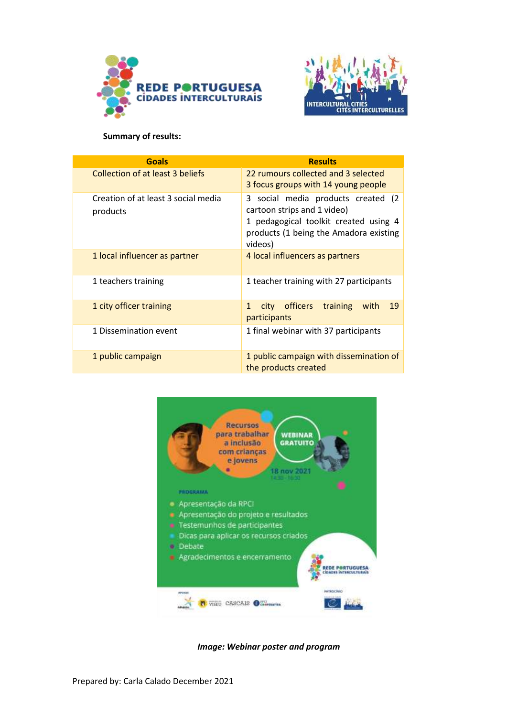



### **Summary of results:**

| <b>Goals</b>                                    | <b>Results</b>                                                                                                                                                  |  |
|-------------------------------------------------|-----------------------------------------------------------------------------------------------------------------------------------------------------------------|--|
| <b>Collection of at least 3 beliefs</b>         | 22 rumours collected and 3 selected<br>3 focus groups with 14 young people                                                                                      |  |
| Creation of at least 3 social media<br>products | 3 social media products created (2<br>cartoon strips and 1 video)<br>1 pedagogical toolkit created using 4<br>products (1 being the Amadora existing<br>videos) |  |
| 1 local influencer as partner                   | 4 local influencers as partners                                                                                                                                 |  |
| 1 teachers training                             | 1 teacher training with 27 participants                                                                                                                         |  |
| 1 city officer training                         | city officers<br>training<br>19<br>1<br>with<br>participants                                                                                                    |  |
| 1 Dissemination event                           | 1 final webinar with 37 participants                                                                                                                            |  |
| 1 public campaign                               | 1 public campaign with dissemination of<br>the products created                                                                                                 |  |



*Image: Webinar poster and program*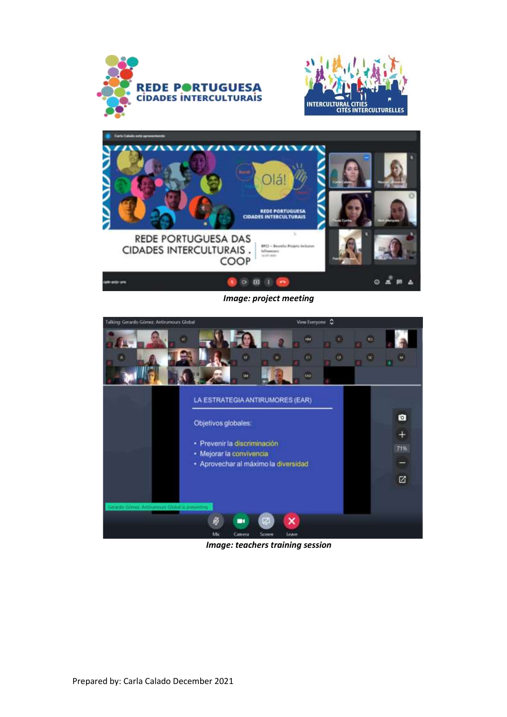





*Image: project meeting*



*Image: teachers training session*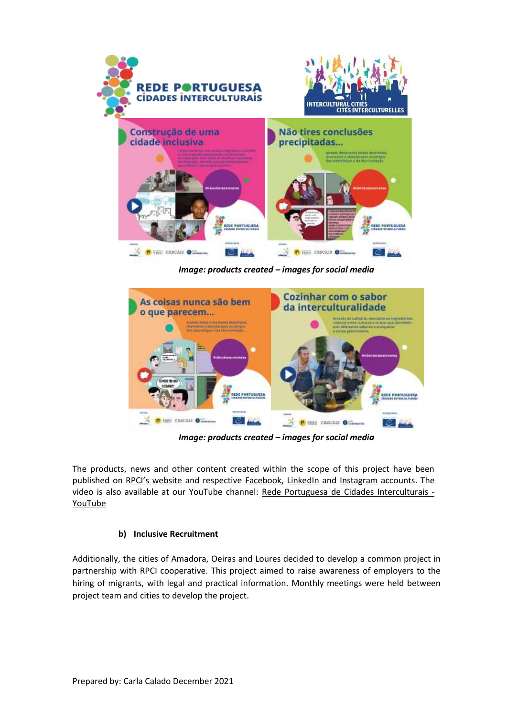

*Image: products created – images for social media*



*Image: products created – images for social media*

The products, news and other content created within the scope of this project have been published on [RPCI's website](https://cidadesinterculturais.pt/ferramentas) and respective [Facebook](https://www.facebook.com/RPCIPortugal/)[,](https://www.linkedin.com/company/70400375/) [LinkedIn](https://www.linkedin.com/company/70400375/) an[d](https://www.instagram.com/cidadesinterculturais/) [Instagram](https://www.instagram.com/cidadesinterculturais/) accounts. The video is also available at our YouTube channel: [Rede Portuguesa de Cidades Interculturais -](https://www.youtube.com/channel/UCVtHDVuDH2Aiz-3xMxIOn2g) [YouTube](https://www.youtube.com/channel/UCVtHDVuDH2Aiz-3xMxIOn2g)

# **b) Inclusive Recruitment**

Additionally, the cities of Amadora, Oeiras and Loures decided to develop a common project in partnership with RPCI cooperative. This project aimed to raise awareness of employers to the hiring of migrants, with legal and practical information. Monthly meetings were held between project team and cities to develop the project.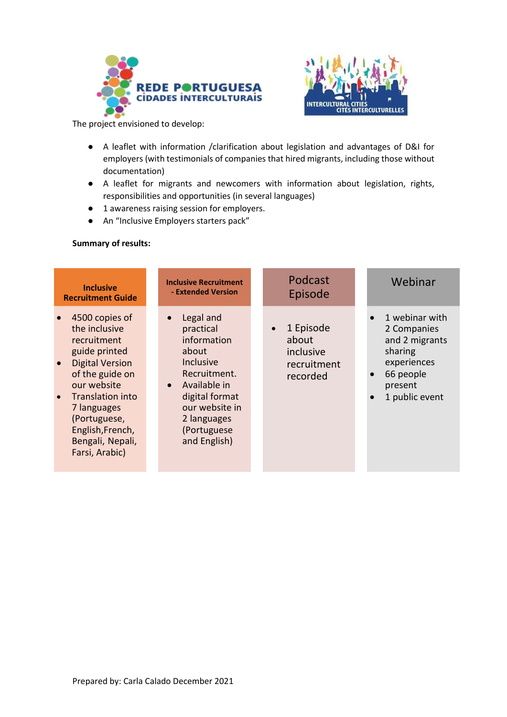



The project envisioned to develop:

- A leaflet with information /clarification about legislation and advantages of D&I for employers (with testimonials of companies that hired migrants, including those without documentation)
- A leaflet for migrants and newcomers with information about legislation, rights, responsibilities and opportunities (in several languages)
- 1 awareness raising session for employers.
- An "Inclusive Employers starters pack"

# **Summary of results:**

| <b>Inclusive</b>                                                                                                                                                                                                                                                                | <b>Inclusive Recruitment</b>                                                                                                                                                                                   | Podcast                                                                 | Webinar                                                                                                                          |
|---------------------------------------------------------------------------------------------------------------------------------------------------------------------------------------------------------------------------------------------------------------------------------|----------------------------------------------------------------------------------------------------------------------------------------------------------------------------------------------------------------|-------------------------------------------------------------------------|----------------------------------------------------------------------------------------------------------------------------------|
| <b>Recruitment Guide</b>                                                                                                                                                                                                                                                        | - Extended Version                                                                                                                                                                                             | Episode                                                                 |                                                                                                                                  |
| 4500 copies of<br>$\bullet$<br>the inclusive<br>recruitment<br>guide printed<br><b>Digital Version</b><br>$\bullet$<br>of the guide on<br>our website<br>Translation into<br>$\bullet$<br>7 languages<br>(Portuguese,<br>English, French,<br>Bengali, Nepali,<br>Farsi, Arabic) | Legal and<br>$\bullet$<br>practical<br>information<br>about<br><b>Inclusive</b><br>Recruitment.<br>Available in<br>$\bullet$<br>digital format<br>our website in<br>2 languages<br>(Portuguese<br>and English) | 1 Episode<br>$\bullet$<br>about<br>inclusive<br>recruitment<br>recorded | 1 webinar with<br>2 Companies<br>and 2 migrants<br>sharing<br>experiences<br>66 people<br>present<br>1 public event<br>$\bullet$ |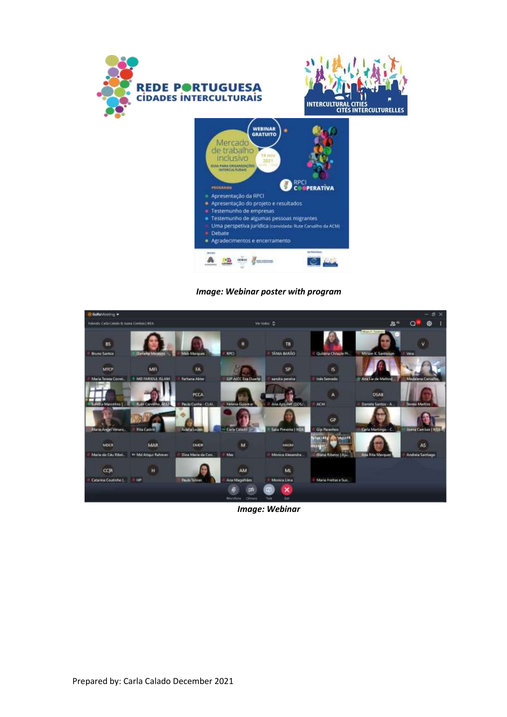

*Image: Webinar poster with program*



*Image: Webinar*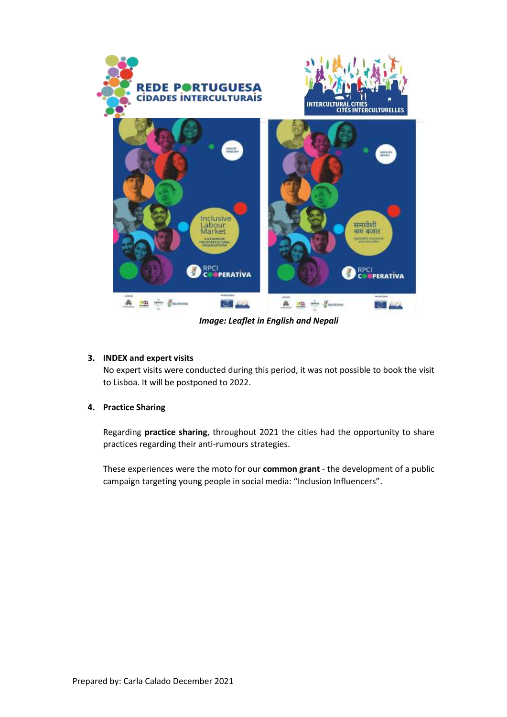

*Image: Leaflet in English and Nepali*

# **3. INDEX and expert visits**

No expert visits were conducted during this period, it was not possible to book the visit to Lisboa. It will be postponed to 2022.

# **4. Practice Sharing**

Regarding **practice sharing**, throughout 2021 the cities had the opportunity to share practices regarding their anti-rumours strategies.

These experiences were the moto for our **common grant** - the development of a public campaign targeting young people in social media: "Inclusion Influencers".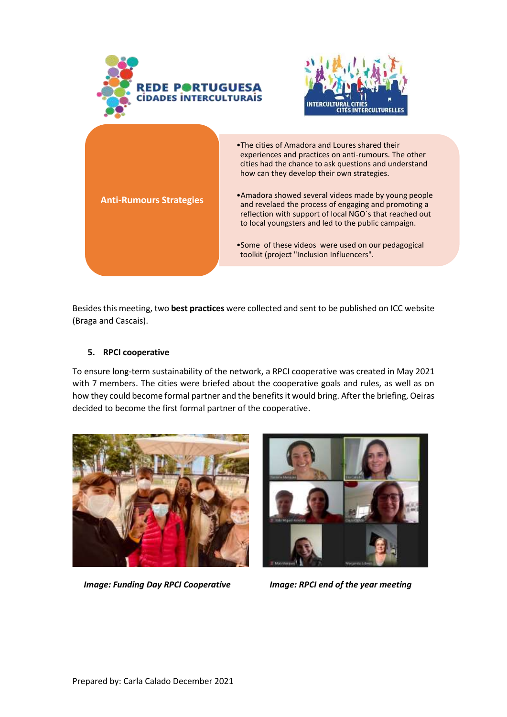





**Anti-Rumours Strategies**

- •Amadora showed several videos made by young people and revelaed the process of engaging and promoting a reflection with support of local NGO´s that reached out to local youngsters and led to the public campaign.
- •Some of these videos were used on our pedagogical toolkit (project "Inclusion Influencers".

Besides this meeting, two **best practices** were collected and sent to be published on ICC website (Braga and Cascais).

# **5. RPCI cooperative**

To ensure long-term sustainability of the network, a RPCI cooperative was created in May 2021 with 7 members. The cities were briefed about the cooperative goals and rules, as well as on how they could become formal partner and the benefits it would bring. After the briefing, Oeiras decided to become the first formal partner of the cooperative.



*Image: Funding Day RPCI Cooperative Image: RPCI end of the year meeting*

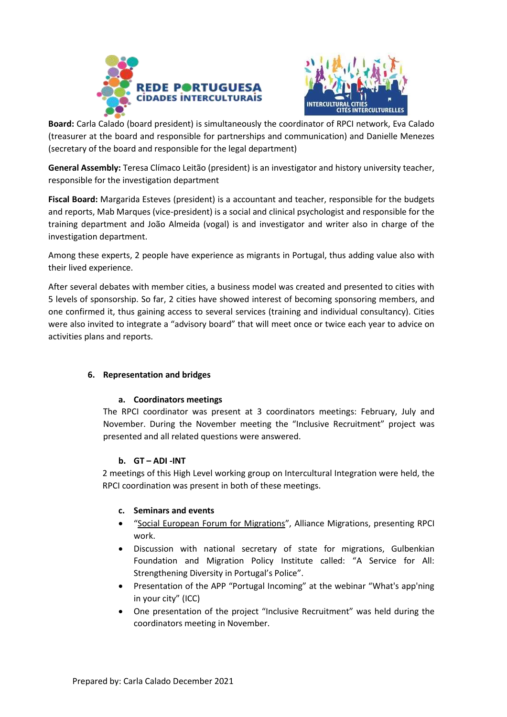



**Board:** Carla Calado (board president) is simultaneously the coordinator of RPCI network, Eva Calado (treasurer at the board and responsible for partnerships and communication) and Danielle Menezes (secretary of the board and responsible for the legal department)

**General Assembly:** Teresa Clímaco Leitão (president) is an investigator and history university teacher, responsible for the investigation department

**Fiscal Board:** Margarida Esteves (president) is a accountant and teacher, responsible for the budgets and reports, Mab Marques (vice-president) is a social and clinical psychologist and responsible for the training department and João Almeida (vogal) is and investigator and writer also in charge of the investigation department.

Among these experts, 2 people have experience as migrants in Portugal, thus adding value also with their lived experience.

After several debates with member cities, a business model was created and presented to cities with 5 levels of sponsorship. So far, 2 cities have showed interest of becoming sponsoring members, and one confirmed it, thus gaining access to several services (training and individual consultancy). Cities were also invited to integrate a "advisory board" that will meet once or twice each year to advice on activities plans and reports.

# **6. Representation and bridges**

# **a. Coordinators meetings**

The RPCI coordinator was present at 3 coordinators meetings: February, July and November. During the November meeting the "Inclusive Recruitment" project was presented and all related questions were answered.

# **b. GT – ADI -INT**

2 meetings of this High Level working group on Intercultural Integration were held, the RPCI coordination was present in both of these meetings.

# **c. Seminars and events**

- "[Social European Forum for Migrations](https://fsemlisboa.org/)", Alliance Migrations, presenting RPCI work.
- Discussion with national secretary of state for migrations, Gulbenkian Foundation and Migration Policy Institute called: "A Service for All: Strengthening Diversity in Portugal's Police".
- Presentation of the APP "Portugal Incoming" at the webinar "What's app'ning in your city" (ICC)
- One presentation of the project "Inclusive Recruitment" was held during the coordinators meeting in November.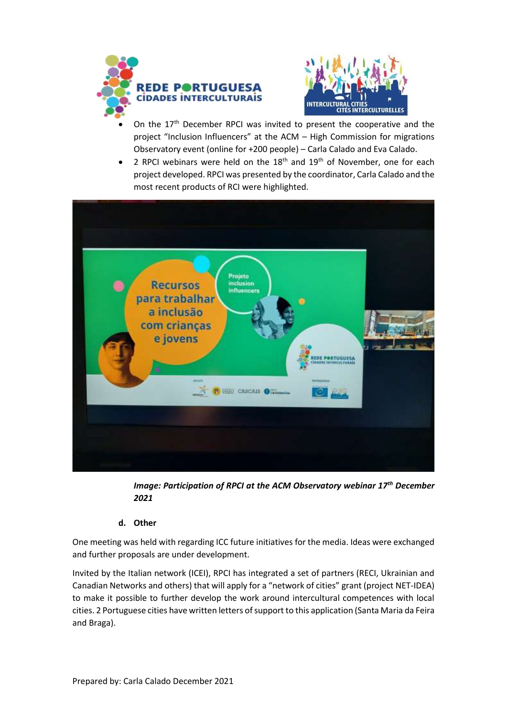



- On the  $17<sup>th</sup>$  December RPCI was invited to present the cooperative and the project "Inclusion Influencers" at the ACM – High Commission for migrations Observatory event (online for +200 people) – Carla Calado and Eva Calado.
- 2 RPCI webinars were held on the  $18<sup>th</sup>$  and  $19<sup>th</sup>$  of November, one for each project developed. RPCI was presented by the coordinator, Carla Calado and the most recent products of RCI were highlighted.



*Image: Participation of RPCI at the ACM Observatory webinar 17th December 2021*

# **d. Other**

One meeting was held with regarding ICC future initiatives for the media. Ideas were exchanged and further proposals are under development.

Invited by the Italian network (ICEI), RPCI has integrated a set of partners (RECI, Ukrainian and Canadian Networks and others) that will apply for a "network of cities" grant (project NET-IDEA) to make it possible to further develop the work around intercultural competences with local cities. 2 Portuguese cities have written letters of support to this application (Santa Maria da Feira and Braga).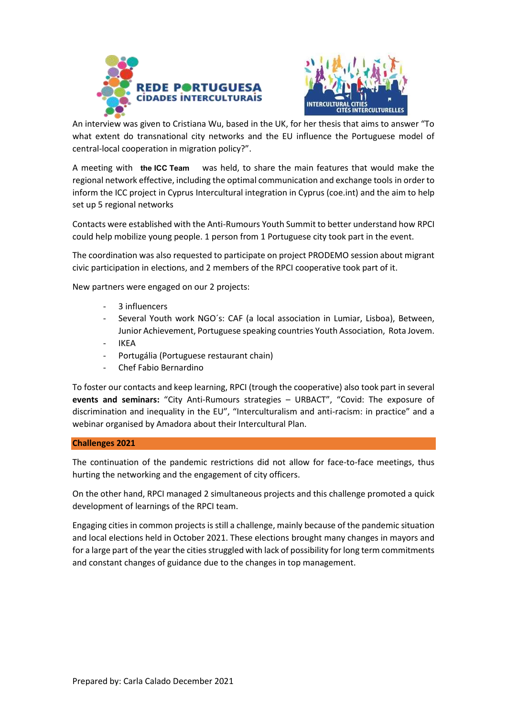



An interview was given to Cristiana Wu, based in the UK, for her thesis that aims to answer "To what extent do transnational city networks and the EU influence the Portuguese model of central-local cooperation in migration policy?".

was held, to share the main features that would make the regional network effective, including the optimal communication and exchange tools in order to inform the ICC project in Cyprus [Intercultural integration in Cyprus \(coe.int\)](https://www.coe.int/en/web/interculturalcities/intercultural-integration-in-cyprus) and the aim to help set up 5 regional networks A meeting with the ICC Team

Contacts were established with the Anti-Rumours Youth Summit to better understand how RPCI could help mobilize young people. 1 person from 1 Portuguese city took part in the event.

The coordination was also requested to participate on project PRODEMO session about migrant civic participation in elections, and 2 members of the RPCI cooperative took part of it.

New partners were engaged on our 2 projects:

- 3 influencers
- Several Youth work NGO's: CAF (a local association in Lumiar, Lisboa), Between, Junior Achievement, Portuguese speaking countries Youth Association, Rota Jovem.
- **IKEA**
- Portugália (Portuguese restaurant chain)
- Chef Fabio Bernardino

To foster our contacts and keep learning, RPCI (trough the cooperative) also took part in several **events and seminars:** "City Anti-Rumours strategies – URBACT", "Covid: The exposure of discrimination and inequality in the EU", "Interculturalism and anti-racism: in practice" and a webinar organised by Amadora about their Intercultural Plan.

### **Challenges 2021**

The continuation of the pandemic restrictions did not allow for face-to-face meetings, thus hurting the networking and the engagement of city officers.

On the other hand, RPCI managed 2 simultaneous projects and this challenge promoted a quick development of learnings of the RPCI team.

Engaging cities in common projects is still a challenge, mainly because of the pandemic situation and local elections held in October 2021. These elections brought many changes in mayors and for a large part of the year the cities struggled with lack of possibility for long term commitments and constant changes of guidance due to the changes in top management.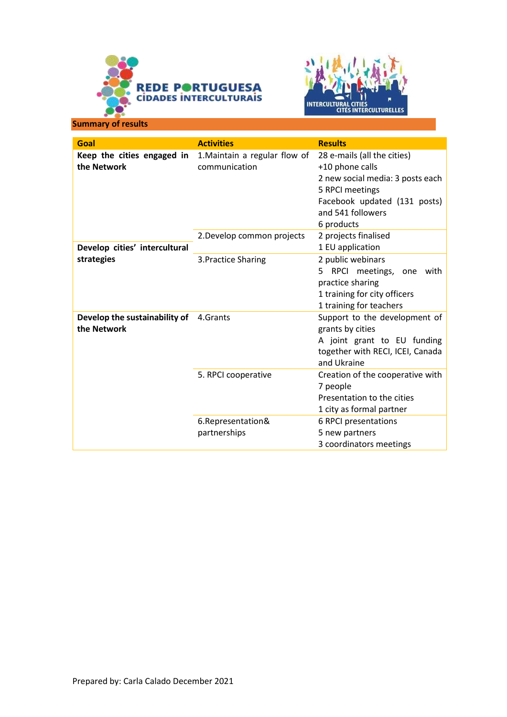



**Summary of results**

| Goal                                                   | <b>Activities</b>                              | <b>Results</b>                                                                                                                                                           |
|--------------------------------------------------------|------------------------------------------------|--------------------------------------------------------------------------------------------------------------------------------------------------------------------------|
| Keep the cities engaged in<br>the Network              | 1. Maintain a regular flow of<br>communication | 28 e-mails (all the cities)<br>+10 phone calls<br>2 new social media: 3 posts each<br>5 RPCI meetings<br>Facebook updated (131 posts)<br>and 541 followers<br>6 products |
| Develop cities' intercultural                          | 2. Develop common projects                     | 2 projects finalised<br>1 EU application                                                                                                                                 |
| strategies                                             | 3. Practice Sharing                            | 2 public webinars<br>5<br>RPCI meetings, one with<br>practice sharing<br>1 training for city officers<br>1 training for teachers                                         |
| Develop the sustainability of 4. Grants<br>the Network |                                                | Support to the development of<br>grants by cities<br>A joint grant to EU funding<br>together with RECI, ICEI, Canada<br>and Ukraine                                      |
|                                                        | 5. RPCI cooperative                            | Creation of the cooperative with<br>7 people<br>Presentation to the cities<br>1 city as formal partner                                                                   |
|                                                        | 6.Representation&<br>partnerships              | 6 RPCI presentations<br>5 new partners<br>3 coordinators meetings                                                                                                        |